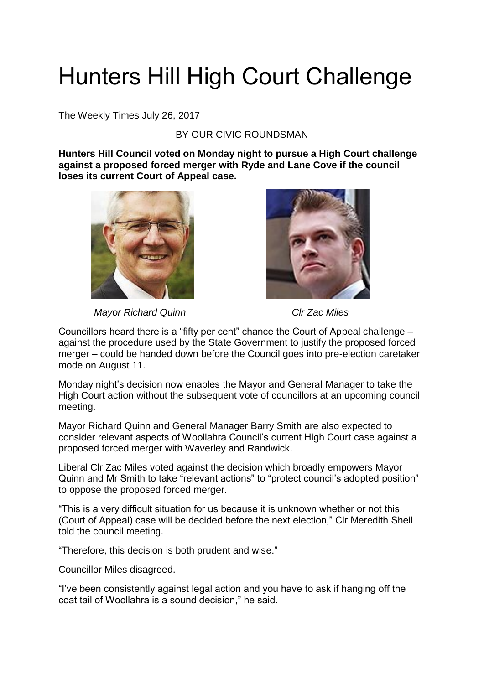## Hunters Hill High Court Challenge

The Weekly Times July 26, 2017

## BY OUR CIVIC ROUNDSMAN

**Hunters Hill Council voted on Monday night to pursue a High Court challenge against a proposed forced merger with Ryde and Lane Cove if the council loses its current Court of Appeal case.**





*Mayor Richard Quinn* Clearer Clearer *Clr Zac Miles* 

Councillors heard there is a "fifty per cent" chance the Court of Appeal challenge – against the procedure used by the State Government to justify the proposed forced merger – could be handed down before the Council goes into pre-election caretaker mode on August 11.

Monday night's decision now enables the Mayor and General Manager to take the High Court action without the subsequent vote of councillors at an upcoming council meeting.

Mayor Richard Quinn and General Manager Barry Smith are also expected to consider relevant aspects of Woollahra Council's current High Court case against a proposed forced merger with Waverley and Randwick.

Liberal Clr Zac Miles voted against the decision which broadly empowers Mayor Quinn and Mr Smith to take "relevant actions" to "protect council's adopted position" to oppose the proposed forced merger.

"This is a very difficult situation for us because it is unknown whether or not this (Court of Appeal) case will be decided before the next election," Clr Meredith Sheil told the council meeting.

"Therefore, this decision is both prudent and wise."

Councillor Miles disagreed.

"I've been consistently against legal action and you have to ask if hanging off the coat tail of Woollahra is a sound decision," he said.